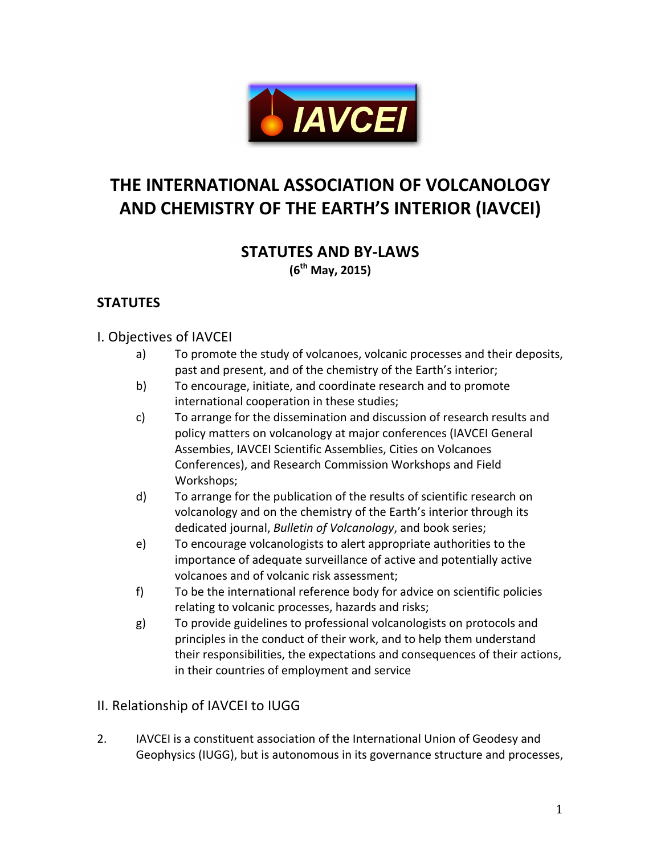

# **THE INTERNATIONAL ASSOCIATION OF VOLCANOLOGY AND CHEMISTRY OF THE EARTH'S INTERIOR (IAVCEI)**

#### **STATUTES AND BY-LAWS (6th May, 2015)**

## **STATUTES**

#### I. Objectives of IAVCEI

- a) To promote the study of volcanoes, volcanic processes and their deposits, past and present, and of the chemistry of the Earth's interior;
- b) To encourage, initiate, and coordinate research and to promote international cooperation in these studies;
- c) To arrange for the dissemination and discussion of research results and policy matters on volcanology at major conferences (IAVCEI General Assembies, IAVCEI Scientific Assemblies, Cities on Volcanoes Conferences), and Research Commission Workshops and Field Workshops;
- d) To arrange for the publication of the results of scientific research on volcanology and on the chemistry of the Earth's interior through its dedicated journal, *Bulletin of Volcanology*, and book series;
- e) To encourage volcanologists to alert appropriate authorities to the importance of adequate surveillance of active and potentially active volcanoes and of volcanic risk assessment;
- f) To be the international reference body for advice on scientific policies relating to volcanic processes, hazards and risks;
- g) To provide guidelines to professional volcanologists on protocols and principles in the conduct of their work, and to help them understand their responsibilities, the expectations and consequences of their actions, in their countries of employment and service

#### II. Relationship of IAVCEI to IUGG

2. IAVCEI is a constituent association of the International Union of Geodesy and Geophysics (IUGG), but is autonomous in its governance structure and processes,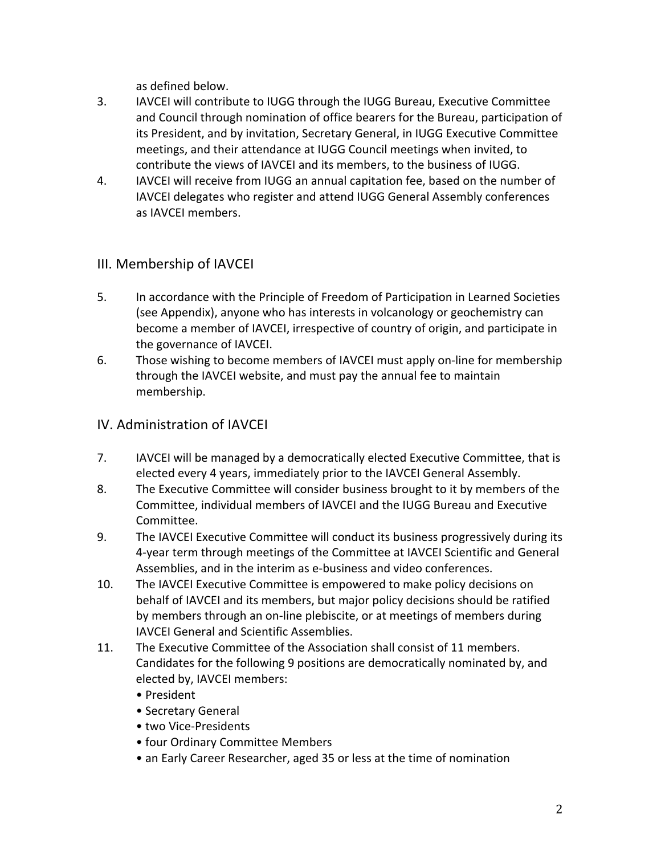as defined below.

- 3. IAVCEI will contribute to IUGG through the IUGG Bureau, Executive Committee and Council through nomination of office bearers for the Bureau, participation of its President, and by invitation, Secretary General, in IUGG Executive Committee meetings, and their attendance at IUGG Council meetings when invited, to contribute the views of IAVCEI and its members, to the business of IUGG.
- 4. IAVCEI will receive from IUGG an annual capitation fee, based on the number of IAVCEI delegates who register and attend IUGG General Assembly conferences as IAVCEI members.

#### III. Membership of IAVCEI

- 5. In accordance with the Principle of Freedom of Participation in Learned Societies (see Appendix), anyone who has interests in volcanology or geochemistry can become a member of IAVCEI, irrespective of country of origin, and participate in the governance of IAVCEI.
- 6. Those wishing to become members of IAVCEI must apply on-line for membership through the IAVCEI website, and must pay the annual fee to maintain membership.

#### IV. Administration of IAVCEI

- 7. IAVCEI will be managed by a democratically elected Executive Committee, that is elected every 4 years, immediately prior to the IAVCEI General Assembly.
- 8. The Executive Committee will consider business brought to it by members of the Committee, individual members of IAVCEI and the IUGG Bureau and Executive Committee.
- 9. The IAVCEI Executive Committee will conduct its business progressively during its 4-year term through meetings of the Committee at IAVCEI Scientific and General Assemblies, and in the interim as e-business and video conferences.
- 10. The IAVCEI Executive Committee is empowered to make policy decisions on behalf of IAVCEI and its members, but major policy decisions should be ratified by members through an on-line plebiscite, or at meetings of members during **IAVCEI** General and Scientific Assemblies.
- 11. The Executive Committee of the Association shall consist of 11 members. Candidates for the following 9 positions are democratically nominated by, and elected by, IAVCEI members:
	- • President
	- Secretary General
	- two Vice-Presidents
	- four Ordinary Committee Members
	- an Early Career Researcher, aged 35 or less at the time of nomination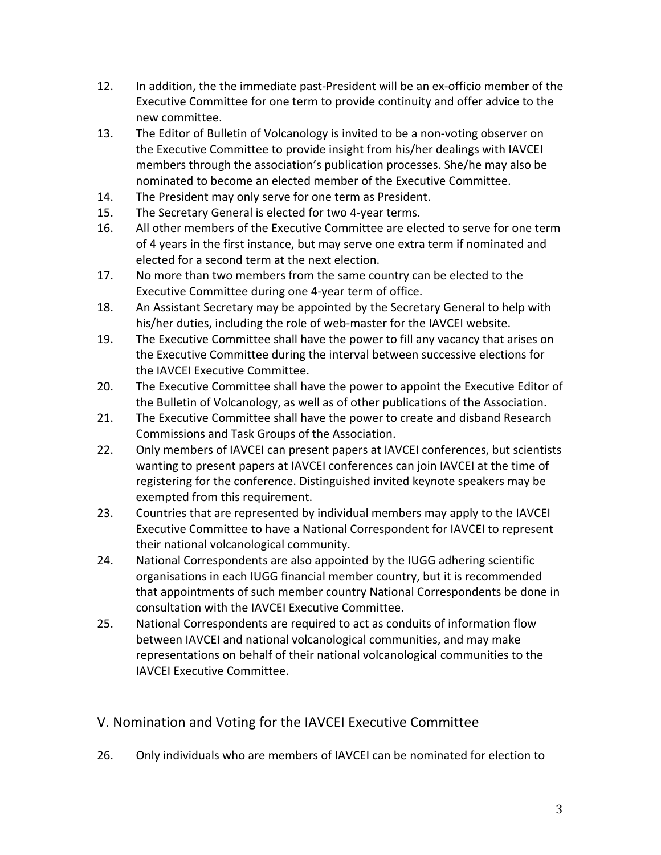- 12. In addition, the the immediate past-President will be an ex-officio member of the Executive Committee for one term to provide continuity and offer advice to the new committee.
- 13. The Editor of Bulletin of Volcanology is invited to be a non-voting observer on the Executive Committee to provide insight from his/her dealings with IAVCEI members through the association's publication processes. She/he may also be nominated to become an elected member of the Executive Committee.
- 14. The President may only serve for one term as President.
- 15. The Secretary General is elected for two 4-year terms.
- 16. All other members of the Executive Committee are elected to serve for one term of 4 years in the first instance, but may serve one extra term if nominated and elected for a second term at the next election.
- 17. No more than two members from the same country can be elected to the Executive Committee during one 4-year term of office.
- 18. An Assistant Secretary may be appointed by the Secretary General to help with his/her duties, including the role of web-master for the IAVCEI website.
- 19. The Executive Committee shall have the power to fill any vacancy that arises on the Executive Committee during the interval between successive elections for the IAVCEI Executive Committee.
- 20. The Executive Committee shall have the power to appoint the Executive Editor of the Bulletin of Volcanology, as well as of other publications of the Association.
- 21. The Executive Committee shall have the power to create and disband Research Commissions and Task Groups of the Association.
- 22. Only members of IAVCEI can present papers at IAVCEI conferences, but scientists wanting to present papers at IAVCEI conferences can join IAVCEI at the time of registering for the conference. Distinguished invited keynote speakers may be exempted from this requirement.
- 23. Countries that are represented by individual members may apply to the IAVCEI Executive Committee to have a National Correspondent for IAVCEI to represent their national volcanological community.
- 24. National Correspondents are also appointed by the IUGG adhering scientific organisations in each IUGG financial member country, but it is recommended that appointments of such member country National Correspondents be done in consultation with the IAVCEI Executive Committee.
- 25. National Correspondents are required to act as conduits of information flow between IAVCEI and national volcanological communities, and may make representations on behalf of their national volcanological communities to the **IAVCEI Executive Committee.**

#### V. Nomination and Voting for the IAVCEI Executive Committee

26. Only individuals who are members of IAVCEI can be nominated for election to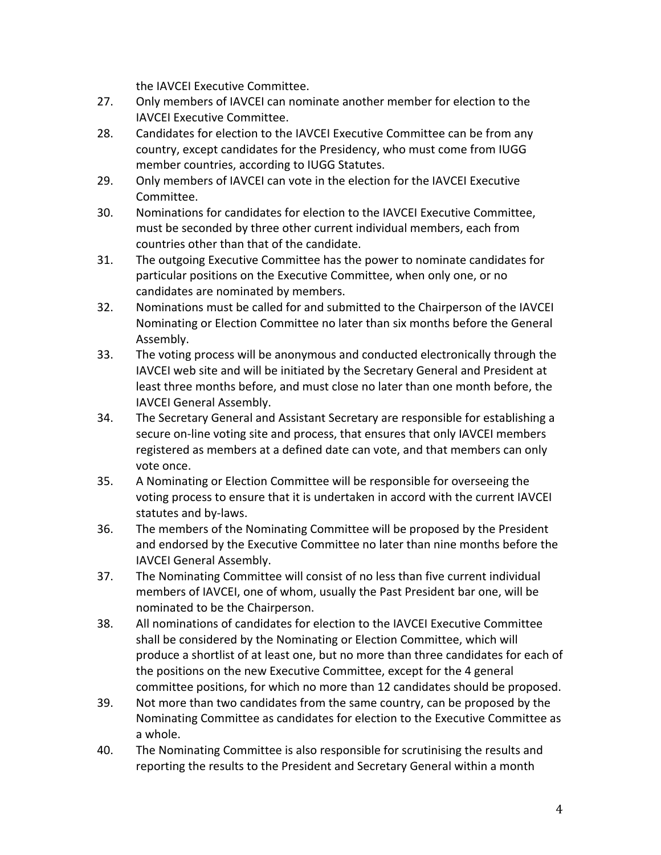the IAVCEI Executive Committee.

- 27. Only members of IAVCEI can nominate another member for election to the **IAVCEI Executive Committee.**
- 28. Candidates for election to the IAVCEI Executive Committee can be from any country, except candidates for the Presidency, who must come from IUGG member countries, according to IUGG Statutes.
- 29. Only members of IAVCEI can vote in the election for the IAVCEI Executive Committee.
- 30. Nominations for candidates for election to the IAVCEI Executive Committee, must be seconded by three other current individual members, each from countries other than that of the candidate.
- 31. The outgoing Executive Committee has the power to nominate candidates for particular positions on the Executive Committee, when only one, or no candidates are nominated by members.
- 32. Nominations must be called for and submitted to the Chairperson of the IAVCEI Nominating or Election Committee no later than six months before the General Assembly.
- 33. The voting process will be anonymous and conducted electronically through the IAVCEI web site and will be initiated by the Secretary General and President at least three months before, and must close no later than one month before, the IAVCEI General Assembly.
- 34. The Secretary General and Assistant Secretary are responsible for establishing a secure on-line voting site and process, that ensures that only IAVCEI members registered as members at a defined date can vote, and that members can only vote once.
- 35. A Nominating or Election Committee will be responsible for overseeing the voting process to ensure that it is undertaken in accord with the current IAVCEI statutes and by-laws.
- 36. The members of the Nominating Committee will be proposed by the President and endorsed by the Executive Committee no later than nine months before the IAVCEI General Assembly.
- 37. The Nominating Committee will consist of no less than five current individual members of IAVCEI, one of whom, usually the Past President bar one, will be nominated to be the Chairperson.
- 38. All nominations of candidates for election to the IAVCEI Executive Committee shall be considered by the Nominating or Election Committee, which will produce a shortlist of at least one, but no more than three candidates for each of the positions on the new Executive Committee, except for the 4 general committee positions, for which no more than 12 candidates should be proposed.
- 39. Not more than two candidates from the same country, can be proposed by the Nominating Committee as candidates for election to the Executive Committee as a whole.
- 40. The Nominating Committee is also responsible for scrutinising the results and reporting the results to the President and Secretary General within a month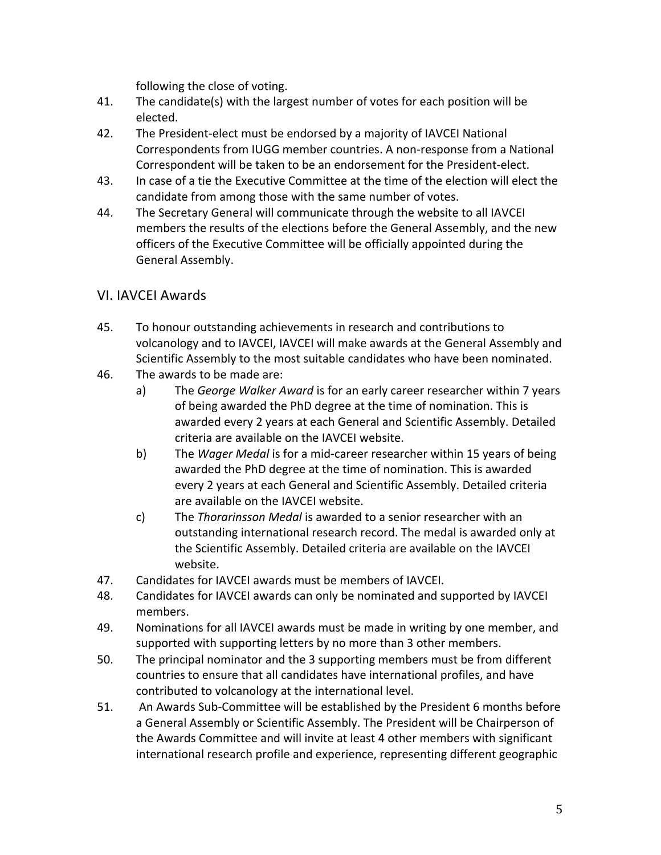following the close of voting.

- 41. The candidate(s) with the largest number of votes for each position will be elected.
- 42. The President-elect must be endorsed by a majority of IAVCEI National Correspondents from IUGG member countries. A non-response from a National Correspondent will be taken to be an endorsement for the President-elect.
- 43. In case of a tie the Executive Committee at the time of the election will elect the candidate from among those with the same number of votes.
- 44. The Secretary General will communicate through the website to all IAVCEI members the results of the elections before the General Assembly, and the new officers of the Executive Committee will be officially appointed during the General Assembly.

#### VI. IAVCEI Awards

- 45. To honour outstanding achievements in research and contributions to volcanology and to IAVCEI, IAVCEI will make awards at the General Assembly and Scientific Assembly to the most suitable candidates who have been nominated.
- 46. The awards to be made are:
	- a) The *George Walker Award* is for an early career researcher within 7 years of being awarded the PhD degree at the time of nomination. This is awarded every 2 years at each General and Scientific Assembly. Detailed criteria are available on the IAVCEI website.
	- b) The *Wager Medal* is for a mid-career researcher within 15 years of being awarded the PhD degree at the time of nomination. This is awarded every 2 years at each General and Scientific Assembly. Detailed criteria are available on the IAVCEI website.
	- c) The *Thorarinsson Medal* is awarded to a senior researcher with an outstanding international research record. The medal is awarded only at the Scientific Assembly. Detailed criteria are available on the IAVCEI website.
- 47. Candidates for IAVCEI awards must be members of IAVCEI.
- 48. Candidates for IAVCEI awards can only be nominated and supported by IAVCEI members.
- 49. Nominations for all IAVCEI awards must be made in writing by one member, and supported with supporting letters by no more than 3 other members.
- 50. The principal nominator and the 3 supporting members must be from different countries to ensure that all candidates have international profiles, and have contributed to volcanology at the international level.
- 51. An Awards Sub-Committee will be established by the President 6 months before a General Assembly or Scientific Assembly. The President will be Chairperson of the Awards Committee and will invite at least 4 other members with significant international research profile and experience, representing different geographic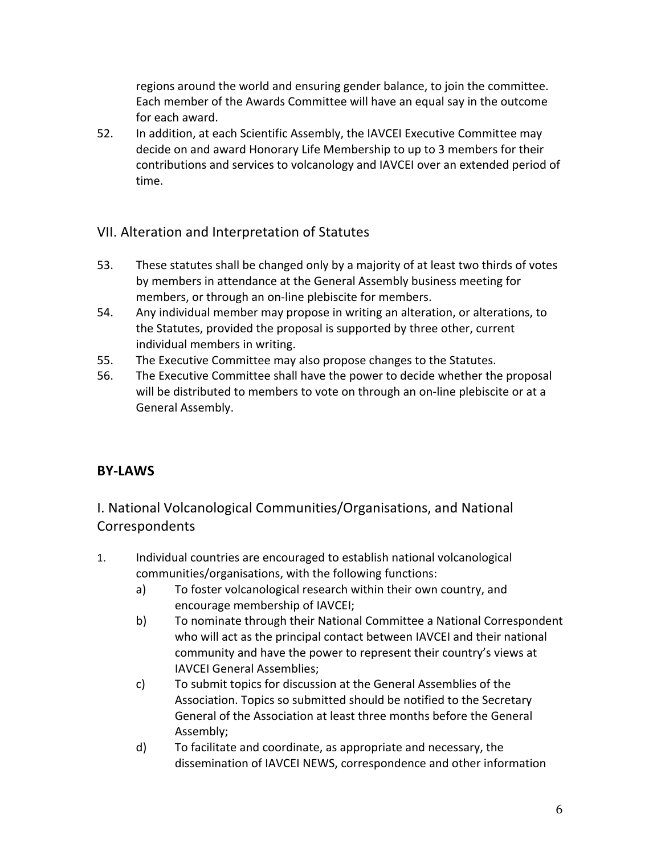regions around the world and ensuring gender balance, to join the committee. Each member of the Awards Committee will have an equal say in the outcome for each award.

52. In addition, at each Scientific Assembly, the IAVCEI Executive Committee may decide on and award Honorary Life Membership to up to 3 members for their contributions and services to volcanology and IAVCEI over an extended period of time.

## VII. Alteration and Interpretation of Statutes

- 53. These statutes shall be changed only by a majority of at least two thirds of votes by members in attendance at the General Assembly business meeting for members, or through an on-line plebiscite for members.
- 54. Any individual member may propose in writing an alteration, or alterations, to the Statutes, provided the proposal is supported by three other, current individual members in writing.
- 55. The Executive Committee may also propose changes to the Statutes.
- 56. The Executive Committee shall have the power to decide whether the proposal will be distributed to members to vote on through an on-line plebiscite or at a General Assembly.

## **BY-LAWS**

## I. National Volcanological Communities/Organisations, and National **Correspondents**

- 1. Individual countries are encouraged to establish national volcanological communities/organisations, with the following functions:
	- a) To foster volcanological research within their own country, and encourage membership of IAVCEI;
	- b) To nominate through their National Committee a National Correspondent who will act as the principal contact between IAVCEI and their national community and have the power to represent their country's views at IAVCEI General Assemblies;
	- c) To submit topics for discussion at the General Assemblies of the Association. Topics so submitted should be notified to the Secretary General of the Association at least three months before the General Assembly;
	- d) To facilitate and coordinate, as appropriate and necessary, the dissemination of IAVCEI NEWS, correspondence and other information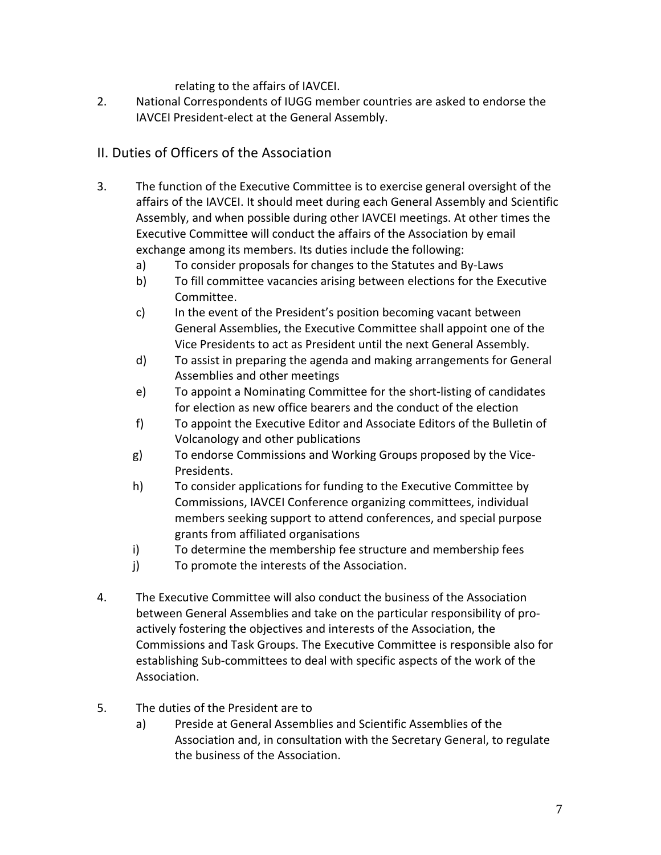relating to the affairs of IAVCEI.

2. National Correspondents of IUGG member countries are asked to endorse the IAVCEI President-elect at the General Assembly.

#### II. Duties of Officers of the Association

- 3. The function of the Executive Committee is to exercise general oversight of the affairs of the IAVCEI. It should meet during each General Assembly and Scientific Assembly, and when possible during other IAVCEI meetings. At other times the Executive Committee will conduct the affairs of the Association by email exchange among its members. Its duties include the following:
	- a) To consider proposals for changes to the Statutes and By-Laws
	- b) To fill committee vacancies arising between elections for the Executive Committee.
	- c) In the event of the President's position becoming vacant between General Assemblies, the Executive Committee shall appoint one of the Vice Presidents to act as President until the next General Assembly.
	- d) To assist in preparing the agenda and making arrangements for General Assemblies and other meetings
	- e) To appoint a Nominating Committee for the short-listing of candidates for election as new office bearers and the conduct of the election
	- f) To appoint the Executive Editor and Associate Editors of the Bulletin of Volcanology and other publications
	- g) To endorse Commissions and Working Groups proposed by the Vice-Presidents.
	- h) To consider applications for funding to the Executive Committee by Commissions, IAVCEI Conference organizing committees, individual members seeking support to attend conferences, and special purpose grants from affiliated organisations
	- i) To determine the membership fee structure and membership fees
	- j) To promote the interests of the Association.
- 4. The Executive Committee will also conduct the business of the Association between General Assemblies and take on the particular responsibility of proactively fostering the objectives and interests of the Association, the Commissions and Task Groups. The Executive Committee is responsible also for establishing Sub-committees to deal with specific aspects of the work of the Association.
- 5. The duties of the President are to
	- a) Preside at General Assemblies and Scientific Assemblies of the Association and, in consultation with the Secretary General, to regulate the business of the Association.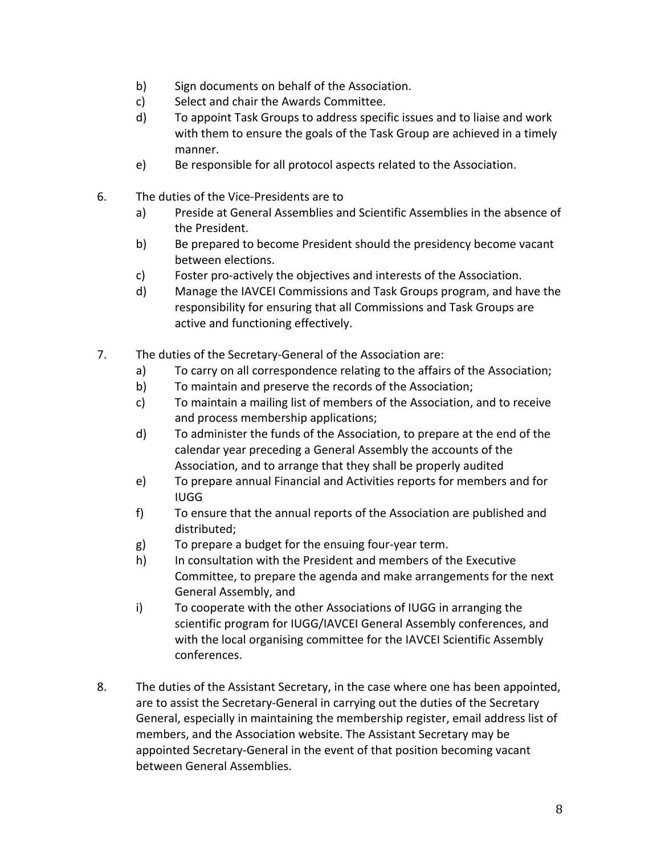- b) Sign documents on behalf of the Association.
- c) Select and chair the Awards Committee.
- d) To appoint Task Groups to address specific issues and to liaise and work with them to ensure the goals of the Task Group are achieved in a timely manner.
- e) Be responsible for all protocol aspects related to the Association.
- 6. The duties of the Vice-Presidents are to
	- a) Preside at General Assemblies and Scientific Assemblies in the absence of the President.
	- b) Be prepared to become President should the presidency become vacant between elections.
	- c) Foster pro-actively the objectives and interests of the Association.
	- d) Manage the IAVCEI Commissions and Task Groups program, and have the responsibility for ensuring that all Commissions and Task Groups are active and functioning effectively.
- 7. The duties of the Secretary-General of the Association are:
	- a) To carry on all correspondence relating to the affairs of the Association;
	- b) To maintain and preserve the records of the Association;
	- c) To maintain a mailing list of members of the Association, and to receive and process membership applications;
	- d) To administer the funds of the Association, to prepare at the end of the calendar year preceding a General Assembly the accounts of the Association, and to arrange that they shall be properly audited
	- e) To prepare annual Financial and Activities reports for members and for IUGG
	- f) To ensure that the annual reports of the Association are published and distributed;
	- g) To prepare a budget for the ensuing four-year term.
	- h) In consultation with the President and members of the Executive Committee, to prepare the agenda and make arrangements for the next General Assembly, and
	- i) To cooperate with the other Associations of IUGG in arranging the scientific program for IUGG/IAVCEI General Assembly conferences, and with the local organising committee for the IAVCEI Scientific Assembly conferences.
- 8. The duties of the Assistant Secretary, in the case where one has been appointed, are to assist the Secretary-General in carrying out the duties of the Secretary General, especially in maintaining the membership register, email address list of members, and the Association website. The Assistant Secretary may be appointed Secretary-General in the event of that position becoming vacant between General Assemblies.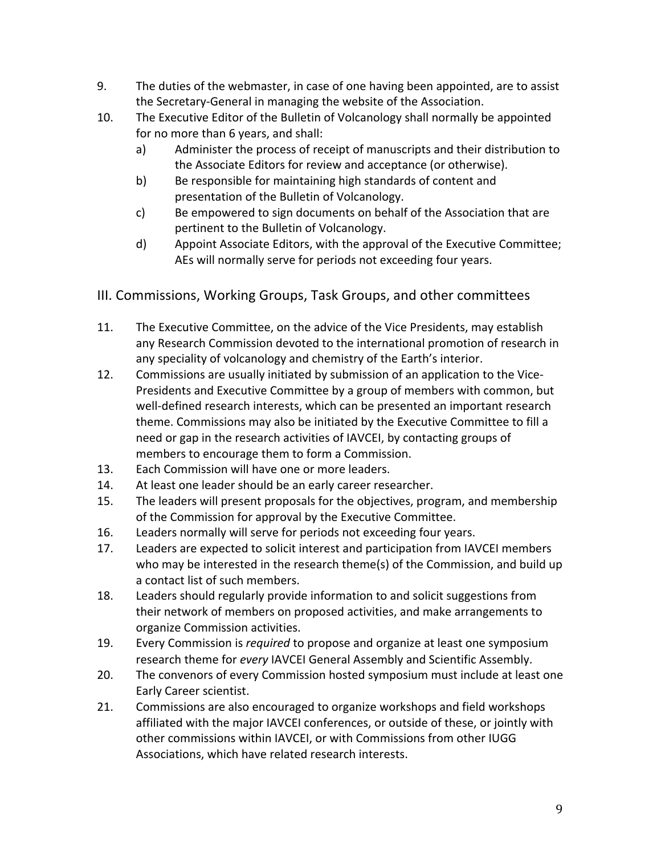- 9. The duties of the webmaster, in case of one having been appointed, are to assist the Secretary-General in managing the website of the Association.
- 10. The Executive Editor of the Bulletin of Volcanology shall normally be appointed for no more than 6 years, and shall:
	- a) Administer the process of receipt of manuscripts and their distribution to the Associate Editors for review and acceptance (or otherwise).
	- b) Be responsible for maintaining high standards of content and presentation of the Bulletin of Volcanology.
	- c) Be empowered to sign documents on behalf of the Association that are pertinent to the Bulletin of Volcanology.
	- d) Appoint Associate Editors, with the approval of the Executive Committee; AEs will normally serve for periods not exceeding four years.

## III. Commissions, Working Groups, Task Groups, and other committees

- 11. The Executive Committee, on the advice of the Vice Presidents, may establish any Research Commission devoted to the international promotion of research in any speciality of volcanology and chemistry of the Earth's interior.
- 12. Commissions are usually initiated by submission of an application to the Vice-Presidents and Executive Committee by a group of members with common, but well-defined research interests, which can be presented an important research theme. Commissions may also be initiated by the Executive Committee to fill a need or gap in the research activities of IAVCEI, by contacting groups of members to encourage them to form a Commission.
- 13. Each Commission will have one or more leaders.
- 14. At least one leader should be an early career researcher.
- 15. The leaders will present proposals for the objectives, program, and membership of the Commission for approval by the Executive Committee.
- 16. Leaders normally will serve for periods not exceeding four years.
- 17. Leaders are expected to solicit interest and participation from IAVCEI members who may be interested in the research theme(s) of the Commission, and build up a contact list of such members.
- 18. Leaders should regularly provide information to and solicit suggestions from their network of members on proposed activities, and make arrangements to organize Commission activities.
- 19. Every Commission is *required* to propose and organize at least one symposium research theme for *every* IAVCEI General Assembly and Scientific Assembly.
- 20. The convenors of every Commission hosted symposium must include at least one Early Career scientist.
- 21. Commissions are also encouraged to organize workshops and field workshops affiliated with the major IAVCEI conferences, or outside of these, or jointly with other commissions within IAVCEI, or with Commissions from other IUGG Associations, which have related research interests.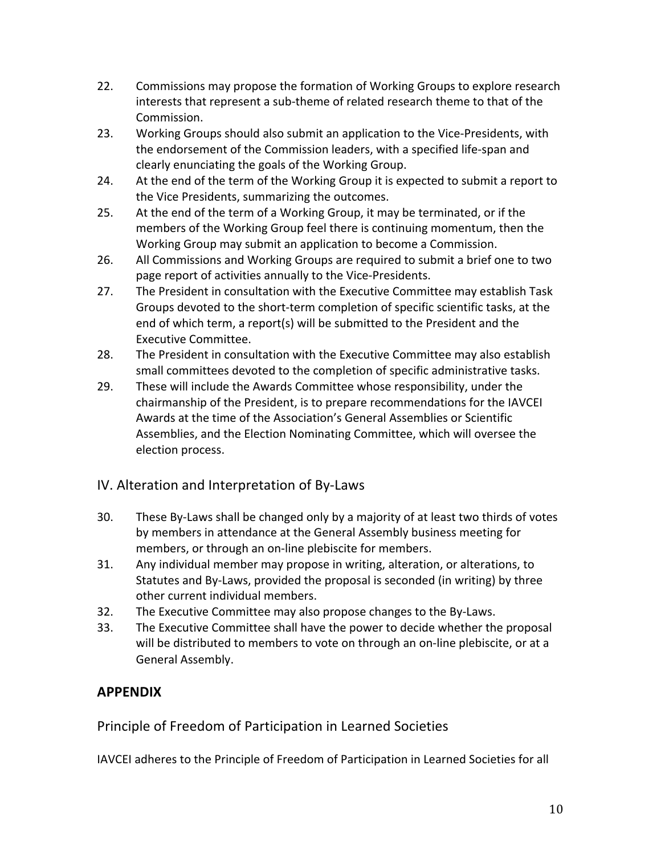- 22. Commissions may propose the formation of Working Groups to explore research interests that represent a sub-theme of related research theme to that of the Commission.
- 23. Working Groups should also submit an application to the Vice-Presidents, with the endorsement of the Commission leaders, with a specified life-span and clearly enunciating the goals of the Working Group.
- 24. At the end of the term of the Working Group it is expected to submit a report to the Vice Presidents, summarizing the outcomes.
- 25. At the end of the term of a Working Group, it may be terminated, or if the members of the Working Group feel there is continuing momentum, then the Working Group may submit an application to become a Commission.
- 26. All Commissions and Working Groups are required to submit a brief one to two page report of activities annually to the Vice-Presidents.
- 27. The President in consultation with the Executive Committee may establish Task Groups devoted to the short-term completion of specific scientific tasks, at the end of which term, a report(s) will be submitted to the President and the Executive Committee.
- 28. The President in consultation with the Executive Committee may also establish small committees devoted to the completion of specific administrative tasks.
- 29. These will include the Awards Committee whose responsibility, under the chairmanship of the President, is to prepare recommendations for the IAVCEI Awards at the time of the Association's General Assemblies or Scientific Assemblies, and the Election Nominating Committee, which will oversee the election process.

#### IV. Alteration and Interpretation of By-Laws

- 30. These By-Laws shall be changed only by a majority of at least two thirds of votes by members in attendance at the General Assembly business meeting for members, or through an on-line plebiscite for members.
- 31. Any individual member may propose in writing, alteration, or alterations, to Statutes and By-Laws, provided the proposal is seconded (in writing) by three other current individual members.
- 32. The Executive Committee may also propose changes to the By-Laws.
- 33. The Executive Committee shall have the power to decide whether the proposal will be distributed to members to vote on through an on-line plebiscite, or at a General Assembly.

## **APPENDIX**

Principle of Freedom of Participation in Learned Societies

IAVCEI adheres to the Principle of Freedom of Participation in Learned Societies for all